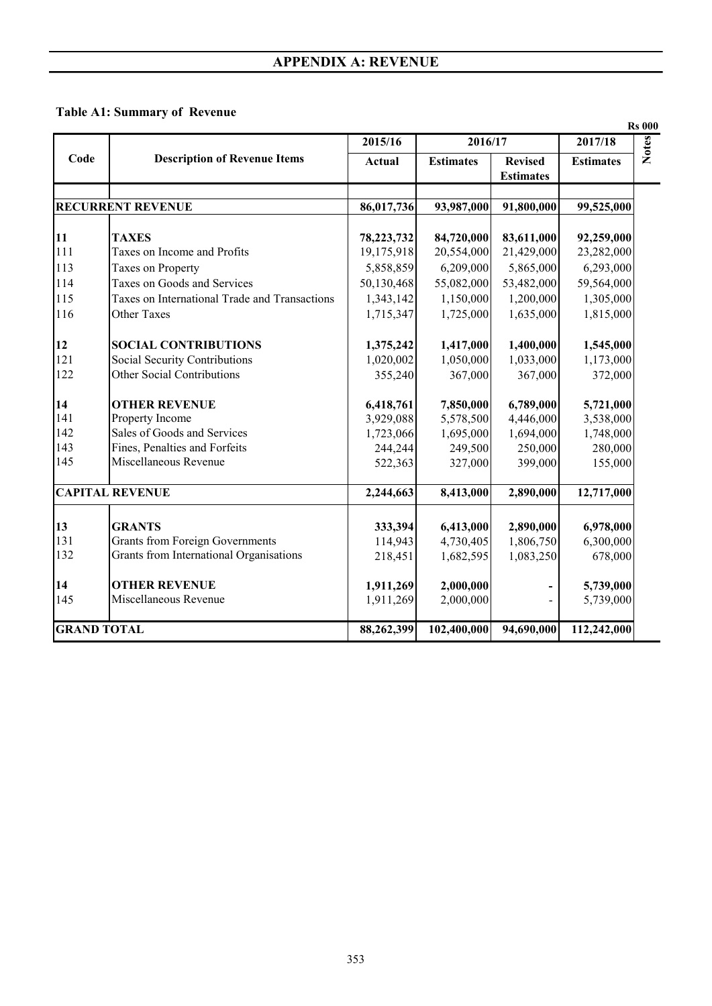## **Table A1: Summary of Revenue**

|                    |                                               |            |                  |                                    |                  | <b>Rs 000</b> |
|--------------------|-----------------------------------------------|------------|------------------|------------------------------------|------------------|---------------|
|                    |                                               | 2015/16    | 2016/17          |                                    | 2017/18          | <b>Notes</b>  |
| Code               | <b>Description of Revenue Items</b>           | Actual     | <b>Estimates</b> | <b>Revised</b><br><b>Estimates</b> | <b>Estimates</b> |               |
|                    |                                               |            |                  |                                    |                  |               |
|                    | <b>RECURRENT REVENUE</b>                      | 86,017,736 | 93,987,000       | 91,800,000                         | 99,525,000       |               |
| 11                 | <b>TAXES</b>                                  | 78,223,732 | 84,720,000       | 83,611,000                         | 92,259,000       |               |
| 111                | Taxes on Income and Profits                   | 19,175,918 | 20,554,000       | 21,429,000                         | 23,282,000       |               |
| 113                | Taxes on Property                             | 5,858,859  | 6,209,000        | 5,865,000                          | 6,293,000        |               |
| 114                | Taxes on Goods and Services                   | 50,130,468 | 55,082,000       | 53,482,000                         | 59,564,000       |               |
| 115                | Taxes on International Trade and Transactions | 1,343,142  | 1,150,000        | 1,200,000                          | 1,305,000        |               |
| 116                | Other Taxes                                   | 1,715,347  | 1,725,000        | 1,635,000                          | 1,815,000        |               |
|                    |                                               |            |                  |                                    |                  |               |
| 12                 | <b>SOCIAL CONTRIBUTIONS</b>                   | 1,375,242  | 1,417,000        | 1,400,000                          | 1,545,000        |               |
| 121                | Social Security Contributions                 | 1,020,002  | 1,050,000        | 1,033,000                          | 1,173,000        |               |
| 122                | Other Social Contributions                    | 355,240    | 367,000          | 367,000                            | 372,000          |               |
| 14                 | <b>OTHER REVENUE</b>                          | 6,418,761  | 7,850,000        | 6,789,000                          | 5,721,000        |               |
| 141                | Property Income                               | 3,929,088  | 5,578,500        | 4,446,000                          | 3,538,000        |               |
| 142                | Sales of Goods and Services                   | 1,723,066  | 1,695,000        | 1,694,000                          | 1,748,000        |               |
| 143                | Fines, Penalties and Forfeits                 | 244,244    | 249,500          | 250,000                            | 280,000          |               |
| 145                | Miscellaneous Revenue                         | 522,363    | 327,000          | 399,000                            | 155,000          |               |
|                    | <b>CAPITAL REVENUE</b>                        | 2,244,663  | 8,413,000        | 2,890,000                          | 12,717,000       |               |
|                    |                                               |            |                  |                                    |                  |               |
| 13                 | <b>GRANTS</b>                                 | 333,394    | 6,413,000        | 2,890,000                          | 6,978,000        |               |
| 131                | <b>Grants from Foreign Governments</b>        | 114,943    | 4,730,405        | 1,806,750                          | 6,300,000        |               |
| 132                | Grants from International Organisations       | 218,451    | 1,682,595        | 1,083,250                          | 678,000          |               |
| 14                 | <b>OTHER REVENUE</b>                          | 1,911,269  | 2,000,000        |                                    | 5,739,000        |               |
| 145                | Miscellaneous Revenue                         | 1,911,269  | 2,000,000        |                                    | 5,739,000        |               |
| <b>GRAND TOTAL</b> |                                               | 88,262,399 | 102,400,000      | 94,690,000                         | 112,242,000      |               |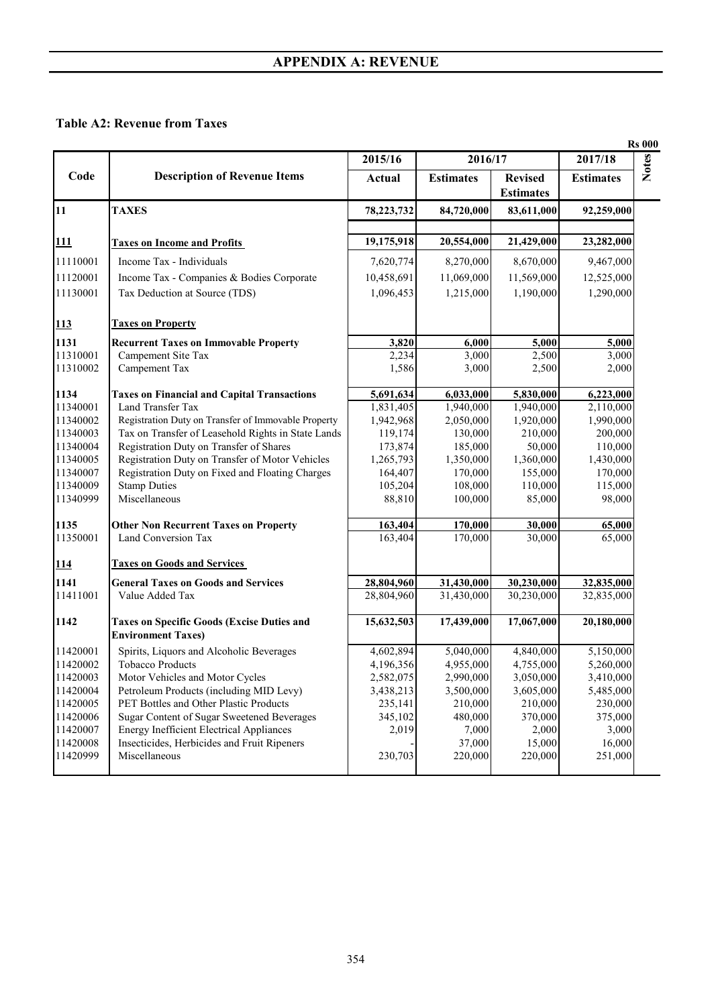#### **Table A2: Revenue from Taxes**

|                                                     |                                                                                                                                                                                                                   |                                                                                                                                       | 2017/18                                                                                                                                          |
|-----------------------------------------------------|-------------------------------------------------------------------------------------------------------------------------------------------------------------------------------------------------------------------|---------------------------------------------------------------------------------------------------------------------------------------|--------------------------------------------------------------------------------------------------------------------------------------------------|
| <b>Actual</b>                                       | <b>Estimates</b>                                                                                                                                                                                                  | <b>Revised</b>                                                                                                                        | <b>Estimates</b>                                                                                                                                 |
| 78, 223, 732                                        | 84,720,000                                                                                                                                                                                                        | 83,611,000                                                                                                                            | 92,259,000                                                                                                                                       |
|                                                     |                                                                                                                                                                                                                   |                                                                                                                                       |                                                                                                                                                  |
| 19,175,918                                          | 20,554,000                                                                                                                                                                                                        | 21,429,000                                                                                                                            | 23,282,000                                                                                                                                       |
|                                                     |                                                                                                                                                                                                                   | 8,670,000                                                                                                                             | 9,467,000                                                                                                                                        |
|                                                     |                                                                                                                                                                                                                   | 11,569,000                                                                                                                            | 12,525,000                                                                                                                                       |
| 1,096,453                                           | 1,215,000                                                                                                                                                                                                         | 1,190,000                                                                                                                             | 1,290,000                                                                                                                                        |
|                                                     |                                                                                                                                                                                                                   |                                                                                                                                       |                                                                                                                                                  |
|                                                     |                                                                                                                                                                                                                   |                                                                                                                                       | 5,000                                                                                                                                            |
| 2,234                                               | 3,000                                                                                                                                                                                                             | 2,500                                                                                                                                 | 3,000                                                                                                                                            |
| 1,586                                               | 3,000                                                                                                                                                                                                             |                                                                                                                                       | 2,000                                                                                                                                            |
| 5,691,634                                           | 6,033,000                                                                                                                                                                                                         | 5,830,000                                                                                                                             | 6,223,000                                                                                                                                        |
| 1,831,405                                           | 1,940,000                                                                                                                                                                                                         | 1,940,000                                                                                                                             | 2,110,000                                                                                                                                        |
|                                                     |                                                                                                                                                                                                                   |                                                                                                                                       | 1,990,000                                                                                                                                        |
|                                                     |                                                                                                                                                                                                                   |                                                                                                                                       | 200,000                                                                                                                                          |
|                                                     |                                                                                                                                                                                                                   |                                                                                                                                       | 110,000                                                                                                                                          |
|                                                     |                                                                                                                                                                                                                   |                                                                                                                                       | 1,430,000                                                                                                                                        |
|                                                     |                                                                                                                                                                                                                   |                                                                                                                                       | 170,000                                                                                                                                          |
| 88,810                                              | 100,000                                                                                                                                                                                                           | 85,000                                                                                                                                | 115,000<br>98,000                                                                                                                                |
|                                                     |                                                                                                                                                                                                                   |                                                                                                                                       | 65,000                                                                                                                                           |
| 163,404                                             | 170,000                                                                                                                                                                                                           | 30,000                                                                                                                                | 65,000                                                                                                                                           |
|                                                     |                                                                                                                                                                                                                   |                                                                                                                                       |                                                                                                                                                  |
| 28,804,960                                          | 31,430,000                                                                                                                                                                                                        | 30,230,000                                                                                                                            | 32,835,000                                                                                                                                       |
| 28,804,960                                          | 31,430,000                                                                                                                                                                                                        | 30,230,000                                                                                                                            | 32,835,000                                                                                                                                       |
| 15,632,503                                          | 17,439,000                                                                                                                                                                                                        | 17,067,000                                                                                                                            | 20,180,000                                                                                                                                       |
| 4,602,894                                           | 5,040,000                                                                                                                                                                                                         | 4,840,000                                                                                                                             | 5,150,000                                                                                                                                        |
| 4,196,356                                           | 4,955,000                                                                                                                                                                                                         | 4,755,000                                                                                                                             | 5,260,000                                                                                                                                        |
| 2,582,075                                           | 2,990,000                                                                                                                                                                                                         | 3,050,000                                                                                                                             | 3,410,000                                                                                                                                        |
| 3,438,213                                           | 3,500,000                                                                                                                                                                                                         | 3,605,000                                                                                                                             | 5,485,000                                                                                                                                        |
|                                                     | 210,000                                                                                                                                                                                                           | 210,000                                                                                                                               | 230,000                                                                                                                                          |
|                                                     |                                                                                                                                                                                                                   |                                                                                                                                       | 375,000                                                                                                                                          |
|                                                     |                                                                                                                                                                                                                   |                                                                                                                                       | 3,000                                                                                                                                            |
|                                                     | 37,000                                                                                                                                                                                                            | 15,000                                                                                                                                | 16,000                                                                                                                                           |
| 230,703                                             | 220,000                                                                                                                                                                                                           | 220,000                                                                                                                               | 251,000                                                                                                                                          |
| Registration Duty on Transfer of Immovable Property | 2015/16<br>7,620,774<br>10,458,691<br>3,820<br>1,942,968<br>Tax on Transfer of Leasehold Rights in State Lands<br>119,174<br>173,874<br>1,265,793<br>164,407<br>105,204<br>163,404<br>235,141<br>345,102<br>2,019 | 8,270,000<br>11,069,000<br>6,000<br>2,050,000<br>130,000<br>185,000<br>1,350,000<br>170,000<br>108,000<br>170,000<br>480,000<br>7,000 | 2016/17<br><b>Estimates</b><br>5,000<br>2,500<br>1,920,000<br>210,000<br>50,000<br>1,360,000<br>155,000<br>110,000<br>30,000<br>370,000<br>2,000 |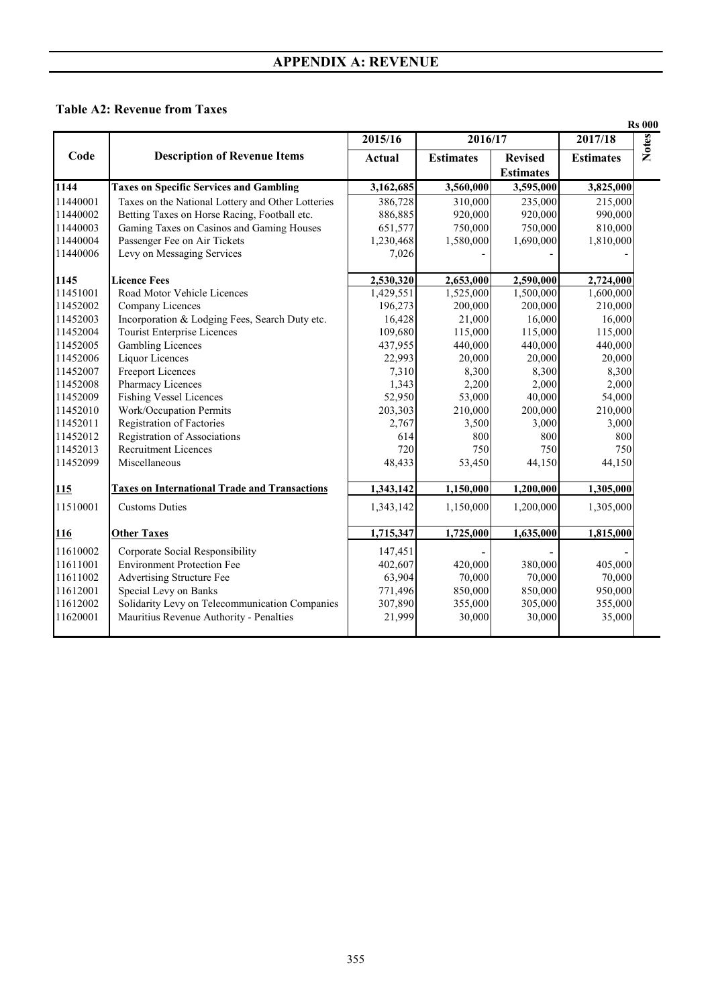#### **Table A2: Revenue from Taxes**

|          |                                                      |           |                  |                  |                  | <b>Rs 000</b> |
|----------|------------------------------------------------------|-----------|------------------|------------------|------------------|---------------|
|          |                                                      | 2015/16   | 2016/17          |                  | 2017/18          | <b>Notes</b>  |
| Code     | <b>Description of Revenue Items</b>                  | Actual    | <b>Estimates</b> | <b>Revised</b>   | <b>Estimates</b> |               |
|          |                                                      |           |                  | <b>Estimates</b> |                  |               |
| 1144     | <b>Taxes on Specific Services and Gambling</b>       | 3,162,685 | 3,560,000        | 3,595,000        | 3,825,000        |               |
| 11440001 | Taxes on the National Lottery and Other Lotteries    | 386,728   | 310,000          | 235,000          | 215,000          |               |
| 11440002 | Betting Taxes on Horse Racing, Football etc.         | 886,885   | 920,000          | 920,000          | 990,000          |               |
| 11440003 | Gaming Taxes on Casinos and Gaming Houses            | 651,577   | 750,000          | 750,000          | 810,000          |               |
| 11440004 | Passenger Fee on Air Tickets                         | 1,230,468 | 1,580,000        | 1,690,000        | 1,810,000        |               |
| 11440006 | Levy on Messaging Services                           | 7,026     |                  |                  |                  |               |
| 1145     | <b>Licence Fees</b>                                  | 2,530,320 | 2,653,000        | 2,590,000        | 2,724,000        |               |
| 11451001 | Road Motor Vehicle Licences                          | 1,429,551 | 1,525,000        | 1,500,000        | 1,600,000        |               |
| 11452002 | Company Licences                                     | 196,273   | 200,000          | 200,000          | 210,000          |               |
| 11452003 | Incorporation & Lodging Fees, Search Duty etc.       | 16,428    | 21,000           | 16,000           | 16,000           |               |
| 11452004 | <b>Tourist Enterprise Licences</b>                   | 109,680   | 115,000          | 115,000          | 115,000          |               |
| 11452005 | <b>Gambling Licences</b>                             | 437,955   | 440,000          | 440,000          | 440,000          |               |
| 11452006 | Liquor Licences                                      | 22,993    | 20,000           | 20,000           | 20,000           |               |
| 11452007 | <b>Freeport Licences</b>                             | 7,310     | 8,300            | 8,300            | 8,300            |               |
| 11452008 | Pharmacy Licences                                    | 1,343     | 2,200            | 2,000            | 2,000            |               |
| 11452009 | <b>Fishing Vessel Licences</b>                       | 52,950    | 53,000           | 40,000           | 54,000           |               |
| 11452010 | Work/Occupation Permits                              | 203,303   | 210,000          | 200,000          | 210,000          |               |
| 11452011 | Registration of Factories                            | 2,767     | 3,500            | 3,000            | 3,000            |               |
| 11452012 | Registration of Associations                         | 614       | 800              | 800              | 800              |               |
| 11452013 | <b>Recruitment Licences</b>                          | 720       | 750              | 750              | 750              |               |
| 11452099 | Miscellaneous                                        | 48,433    | 53,450           | 44,150           | 44,150           |               |
| 115      | <b>Taxes on International Trade and Transactions</b> | 1,343,142 | 1,150,000        | 1,200,000        | 1,305,000        |               |
| 11510001 | <b>Customs Duties</b>                                | 1,343,142 | 1,150,000        | 1,200,000        | 1,305,000        |               |
| 116      | <b>Other Taxes</b>                                   | 1,715,347 | 1,725,000        | 1,635,000        | 1,815,000        |               |
| 11610002 | Corporate Social Responsibility                      | 147,451   |                  |                  |                  |               |
| 11611001 | <b>Environment Protection Fee</b>                    | 402,607   | 420,000          | 380,000          | 405,000          |               |
| 11611002 | Advertising Structure Fee                            | 63,904    | 70,000           | 70,000           | 70,000           |               |
| 11612001 | Special Levy on Banks                                | 771,496   | 850,000          | 850,000          | 950,000          |               |
| 11612002 | Solidarity Levy on Telecommunication Companies       | 307,890   | 355,000          | 305,000          | 355,000          |               |
| 11620001 | Mauritius Revenue Authority - Penalties              | 21,999    | 30,000           | 30,000           | 35,000           |               |
|          |                                                      |           |                  |                  |                  |               |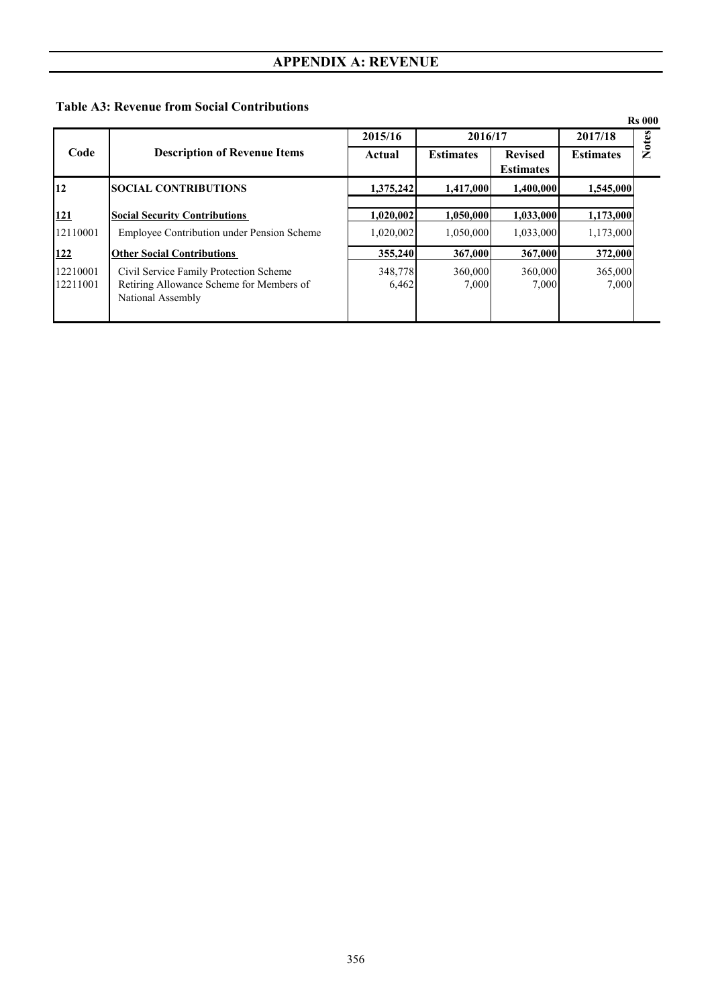## **Table A3: Revenue from Social Contributions**

|                      |                                                                                                         |                  |                  |                                    |                  | <b>Rs</b> 000 |
|----------------------|---------------------------------------------------------------------------------------------------------|------------------|------------------|------------------------------------|------------------|---------------|
|                      |                                                                                                         | 2015/16          | 2016/17          |                                    | 2017/18          | <b>Notes</b>  |
| Code                 | <b>Description of Revenue Items</b>                                                                     | Actual           | <b>Estimates</b> | <b>Revised</b><br><b>Estimates</b> | <b>Estimates</b> |               |
| 12                   | <b>SOCIAL CONTRIBUTIONS</b>                                                                             | 1,375,242        | 1,417,000        | 1,400,000                          | 1,545,000        |               |
| <u>121</u>           | <b>Social Security Contributions</b>                                                                    | 1,020,002        | 1,050,000        | 1,033,000                          | 1,173,000        |               |
| 12110001             | Employee Contribution under Pension Scheme                                                              | 1,020,002        | 1,050,000        | 1,033,000                          | 1,173,000        |               |
| <u> 122</u>          | <b>Other Social Contributions</b>                                                                       | 355,240          | 367,000          | 367,000                            | 372,000          |               |
| 12210001<br>12211001 | Civil Service Family Protection Scheme<br>Retiring Allowance Scheme for Members of<br>National Assembly | 348,778<br>6,462 | 360,000<br>7.000 | 360,000<br>7.000                   | 365,000<br>7.000 |               |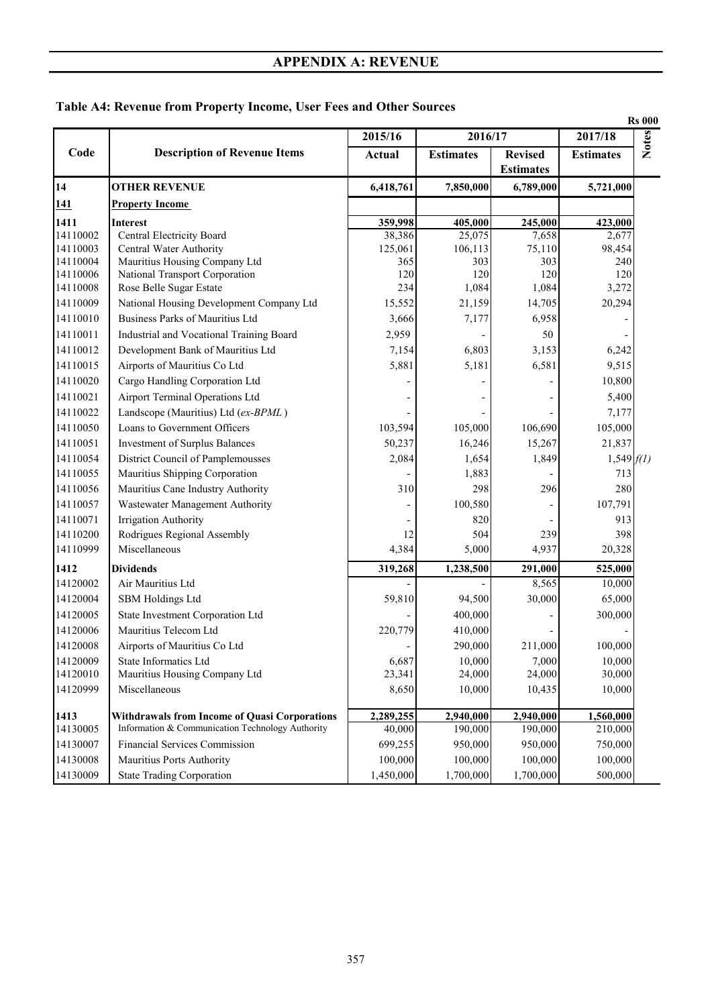|          |                                                           |               |                  | <b>Rs 000</b>                      |                  |              |
|----------|-----------------------------------------------------------|---------------|------------------|------------------------------------|------------------|--------------|
|          |                                                           | 2015/16       | 2016/17          |                                    | 2017/18          | <b>Notes</b> |
| Code     | <b>Description of Revenue Items</b>                       | <b>Actual</b> | <b>Estimates</b> | <b>Revised</b><br><b>Estimates</b> | <b>Estimates</b> |              |
| 14       | <b>OTHER REVENUE</b>                                      | 6,418,761     | 7,850,000        | 6,789,000                          | 5,721,000        |              |
| 141      | <b>Property Income</b>                                    |               |                  |                                    |                  |              |
| 1411     | <b>Interest</b>                                           | 359,998       | 405,000          | 245,000                            | 423,000          |              |
| 14110002 | Central Electricity Board                                 | 38,386        | 25,075           | 7,658                              | 2,677            |              |
| 14110003 | Central Water Authority                                   | 125,061       | 106,113          | 75,110                             | 98,454           |              |
| 14110004 | Mauritius Housing Company Ltd                             | 365           | 303              | 303                                | 240              |              |
| 14110006 | National Transport Corporation                            | 120           | 120              | 120                                | 120              |              |
| 14110008 | Rose Belle Sugar Estate                                   | 234           | 1,084            | 1,084                              | 3,272            |              |
| 14110009 | National Housing Development Company Ltd                  | 15,552        | 21,159           | 14,705                             | 20,294           |              |
| 14110010 | Business Parks of Mauritius Ltd                           | 3,666         | 7,177            | 6,958                              |                  |              |
| 14110011 | Industrial and Vocational Training Board                  | 2,959         |                  | 50                                 |                  |              |
| 14110012 | Development Bank of Mauritius Ltd                         | 7,154         | 6,803            | 3,153                              | 6,242            |              |
| 14110015 | Airports of Mauritius Co Ltd                              | 5,881         | 5,181            | 6,581                              | 9,515            |              |
| 14110020 | Cargo Handling Corporation Ltd                            |               |                  |                                    | 10,800           |              |
| 14110021 | Airport Terminal Operations Ltd                           |               |                  |                                    | 5,400            |              |
| 14110022 | Landscope (Mauritius) Ltd (ex-BPML)                       |               |                  |                                    | 7,177            |              |
| 14110050 | Loans to Government Officers                              | 103,594       | 105,000          | 106,690                            | 105,000          |              |
| 14110051 | Investment of Surplus Balances                            | 50,237        | 16,246           | 15,267                             | 21,837           |              |
| 14110054 | District Council of Pamplemousses                         | 2,084         | 1,654            | 1,849                              | 1,549 f(1)       |              |
| 14110055 | Mauritius Shipping Corporation                            |               | 1,883            |                                    | 713              |              |
| 14110056 | Mauritius Cane Industry Authority                         | 310           | 298              | 296                                | 280              |              |
| 14110057 | Wastewater Management Authority                           |               | 100,580          |                                    | 107,791          |              |
| 14110071 | Irrigation Authority                                      |               | 820              |                                    | 913              |              |
| 14110200 | Rodrigues Regional Assembly                               | 12            | 504              | 239                                | 398              |              |
| 14110999 | Miscellaneous                                             | 4,384         | 5,000            | 4,937                              | 20,328           |              |
| 1412     | <b>Dividends</b>                                          | 319,268       | 1,238,500        | 291,000                            | 525,000          |              |
| 14120002 | Air Mauritius Ltd                                         |               |                  | 8,565                              | 10,000           |              |
| 14120004 |                                                           |               |                  | 30,000                             |                  |              |
|          | <b>SBM Holdings Ltd</b>                                   | 59,810        | 94,500           |                                    | 65,000           |              |
| 14120005 | State Investment Corporation Ltd<br>Mauritius Telecom Ltd |               | 400,000          |                                    | 300,000          |              |
| 14120006 |                                                           | 220,779       | 410,000          |                                    |                  |              |
| 14120008 | Airports of Mauritius Co Ltd                              |               | 290,000          | 211,000                            | 100,000          |              |
| 14120009 | State Informatics Ltd                                     | 6,687         | 10,000           | 7,000                              | 10,000<br>30,000 |              |
| 14120010 | Mauritius Housing Company Ltd                             | 23,341        | 24,000           | 24,000                             |                  |              |
| 14120999 | Miscellaneous                                             | 8,650         | 10,000           | 10,435                             | 10,000           |              |
| 1413     | <b>Withdrawals from Income of Quasi Corporations</b>      | 2,289,255     | 2,940,000        | 2,940,000                          | 1,560,000        |              |
| 14130005 | Information & Communication Technology Authority          | 40,000        | 190,000          | 190,000                            | 210,000          |              |
| 14130007 | Financial Services Commission                             | 699,255       | 950,000          | 950,000                            | 750,000          |              |
| 14130008 | Mauritius Ports Authority                                 | 100,000       | 100,000          | 100,000                            | 100,000          |              |
| 14130009 | <b>State Trading Corporation</b>                          | 1,450,000     | 1,700,000        | 1,700,000                          | 500,000          |              |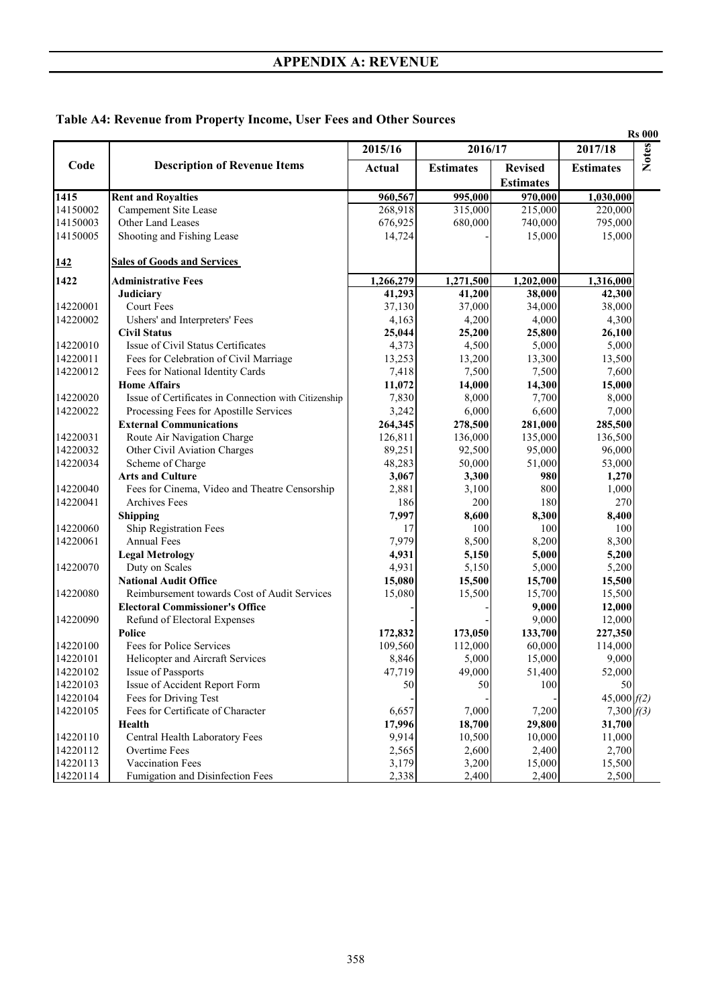|  |  |  |  | Table A4: Revenue from Property Income, User Fees and Other Sources |  |
|--|--|--|--|---------------------------------------------------------------------|--|
|  |  |  |  |                                                                     |  |

|            |                                                      |               |                  |                                    |                  | <b>Rs 000</b> |
|------------|------------------------------------------------------|---------------|------------------|------------------------------------|------------------|---------------|
|            |                                                      | 2015/16       | 2016/17          |                                    | 2017/18          | <b>Notes</b>  |
| Code       | <b>Description of Revenue Items</b>                  | <b>Actual</b> | <b>Estimates</b> | <b>Revised</b><br><b>Estimates</b> | <b>Estimates</b> |               |
| 1415       | <b>Rent and Royalties</b>                            | 960,567       | 995,000          | 970,000                            | 1,030,000        |               |
| 14150002   | Campement Site Lease                                 | 268,918       | 315,000          | 215,000                            | 220,000          |               |
| 14150003   | Other Land Leases                                    | 676,925       | 680,000          | 740,000                            | 795,000          |               |
| 14150005   | Shooting and Fishing Lease                           | 14,724        |                  | 15,000                             | 15,000           |               |
| <u>142</u> | <b>Sales of Goods and Services</b>                   |               |                  |                                    |                  |               |
| 1422       | <b>Administrative Fees</b>                           | 1,266,279     | 1,271,500        | 1,202,000                          | 1,316,000        |               |
|            | Judiciary                                            | 41,293        | 41,200           | 38,000                             | 42,300           |               |
| 14220001   | <b>Court Fees</b>                                    | 37,130        | 37,000           | 34,000                             | 38,000           |               |
| 14220002   | Ushers' and Interpreters' Fees                       | 4,163         | 4,200            | 4,000                              | 4,300            |               |
|            | <b>Civil Status</b>                                  | 25,044        | 25,200           | 25,800                             | 26,100           |               |
| 14220010   | Issue of Civil Status Certificates                   | 4,373         | 4,500            | 5,000                              | 5,000            |               |
| 14220011   | Fees for Celebration of Civil Marriage               | 13,253        | 13,200           | 13,300                             | 13,500           |               |
| 14220012   | Fees for National Identity Cards                     | 7,418         | 7,500            | 7,500                              | 7,600            |               |
|            | <b>Home Affairs</b>                                  | 11,072        | 14,000           | 14,300                             | 15,000           |               |
| 14220020   | Issue of Certificates in Connection with Citizenship | 7,830         | 8,000            | 7,700                              | 8,000            |               |
| 14220022   | Processing Fees for Apostille Services               | 3,242         | 6,000            | 6,600                              | 7,000            |               |
|            | <b>External Communications</b>                       | 264,345       | 278,500          | 281,000                            | 285,500          |               |
| 14220031   | Route Air Navigation Charge                          | 126,811       | 136,000          | 135,000                            | 136,500          |               |
| 14220032   | Other Civil Aviation Charges                         | 89,251        | 92,500           | 95,000                             | 96,000           |               |
| 14220034   | Scheme of Charge                                     | 48,283        | 50,000           | 51,000                             | 53,000           |               |
|            | <b>Arts and Culture</b>                              | 3,067         | 3,300            | 980                                | 1,270            |               |
| 14220040   | Fees for Cinema, Video and Theatre Censorship        | 2,881         | 3,100            | 800                                | 1,000            |               |
| 14220041   | <b>Archives Fees</b>                                 | 186           | 200              | 180                                | 270              |               |
|            | <b>Shipping</b>                                      | 7,997         | 8,600            | 8,300                              | 8,400            |               |
| 14220060   | Ship Registration Fees                               | 17            | 100              | 100                                | 100              |               |
| 14220061   | <b>Annual Fees</b>                                   | 7,979         | 8,500            | 8,200                              | 8,300            |               |
|            | <b>Legal Metrology</b>                               | 4,931         | 5,150            | 5,000                              | 5,200            |               |
| 14220070   | Duty on Scales                                       | 4,931         | 5,150            | 5,000                              | 5,200            |               |
|            | <b>National Audit Office</b>                         | 15,080        | 15,500           | 15,700                             | 15,500           |               |
| 14220080   | Reimbursement towards Cost of Audit Services         | 15,080        | 15,500           | 15,700                             | 15,500           |               |
|            | <b>Electoral Commissioner's Office</b>               |               |                  | 9,000                              | 12,000           |               |
| 14220090   | Refund of Electoral Expenses                         |               |                  | 9,000                              | 12,000           |               |
|            | Police                                               | 172,832       | 173,050          | 133,700                            | 227,350          |               |
| 14220100   | Fees for Police Services                             | 109,560       | 112,000          | 60,000                             | 114,000          |               |
| 14220101   | Helicopter and Aircraft Services                     | 8,846         | 5,000            | 15,000                             | 9,000            |               |
| 14220102   | Issue of Passports                                   | 47,719        | 49,000           | 51,400                             | 52,000           |               |
| 14220103   | Issue of Accident Report Form                        | 50            | 50               | 100                                | 50               |               |
| 14220104   | Fees for Driving Test                                |               |                  |                                    | 45,000 $f(2)$    |               |
| 14220105   | Fees for Certificate of Character                    | 6,657         | 7,000            | 7,200                              | 7,300 $f(3)$     |               |
|            | Health                                               | 17,996        | 18,700           | 29,800                             | 31,700           |               |
| 14220110   | Central Health Laboratory Fees                       | 9,914         | 10,500           | 10,000                             | 11,000           |               |
| 14220112   | Overtime Fees                                        | 2,565         | 2,600            | 2,400                              | 2,700            |               |
| 14220113   | Vaccination Fees                                     | 3,179         | 3,200            | 15,000                             | 15,500           |               |
|            |                                                      |               |                  |                                    |                  |               |
| 14220114   | Fumigation and Disinfection Fees                     | 2,338         | 2,400            | 2,400                              | 2,500            |               |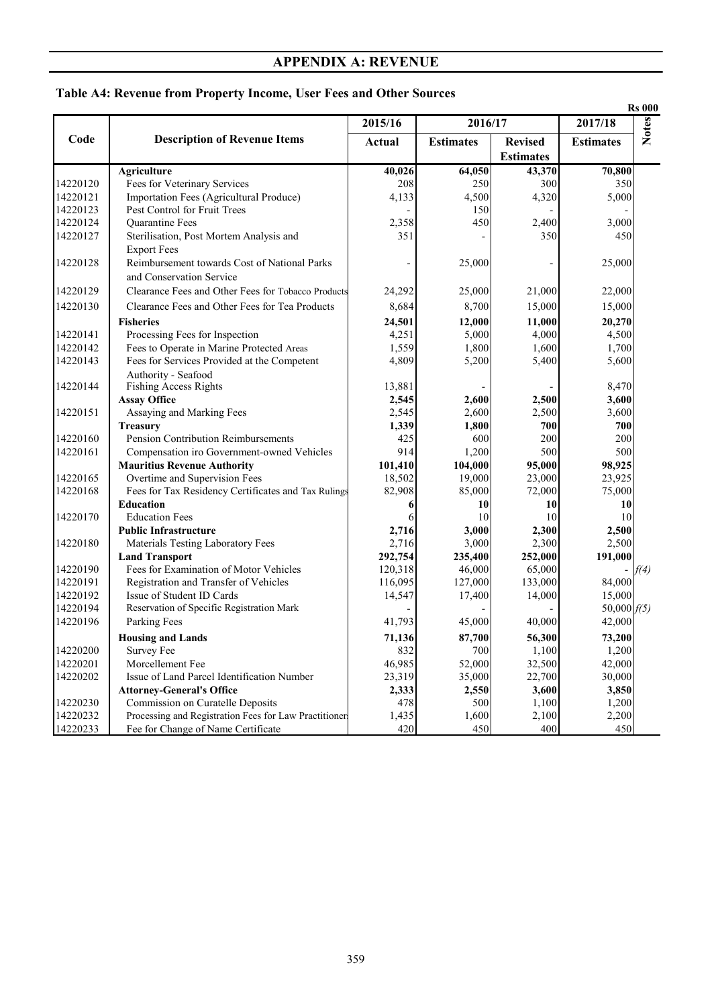|          |                                                       |         |                  |                  |                  | <b>Rs 000</b> |
|----------|-------------------------------------------------------|---------|------------------|------------------|------------------|---------------|
|          |                                                       | 2015/16 | 2016/17          |                  | 2017/18          | <b>Notes</b>  |
| Code     | <b>Description of Revenue Items</b>                   | Actual  | <b>Estimates</b> | <b>Revised</b>   | <b>Estimates</b> |               |
|          |                                                       |         |                  | <b>Estimates</b> |                  |               |
|          | <b>Agriculture</b>                                    | 40,026  | 64,050           | 43,370           | 70,800           |               |
| 14220120 | Fees for Veterinary Services                          | 208     | 250              | 300              | 350              |               |
| 14220121 | Importation Fees (Agricultural Produce)               | 4,133   | 4,500            | 4,320            | 5,000            |               |
| 14220123 | Pest Control for Fruit Trees                          |         | 150              |                  |                  |               |
| 14220124 | <b>Ouarantine Fees</b>                                | 2,358   | 450              | 2,400            | 3,000            |               |
| 14220127 | Sterilisation, Post Mortem Analysis and               | 351     |                  | 350              | 450              |               |
|          | <b>Export Fees</b>                                    |         |                  |                  |                  |               |
| 14220128 | Reimbursement towards Cost of National Parks          |         | 25,000           |                  | 25,000           |               |
|          | and Conservation Service                              |         |                  |                  |                  |               |
| 14220129 | Clearance Fees and Other Fees for Tobacco Products    | 24,292  | 25,000           | 21,000           | 22,000           |               |
| 14220130 | Clearance Fees and Other Fees for Tea Products        | 8,684   | 8,700            | 15,000           | 15,000           |               |
|          | <b>Fisheries</b>                                      | 24,501  |                  | 11,000           | 20,270           |               |
| 14220141 | Processing Fees for Inspection                        | 4,251   | 12,000<br>5,000  | 4,000            | 4,500            |               |
| 14220142 | Fees to Operate in Marine Protected Areas             | 1,559   | 1,800            | 1,600            | 1,700            |               |
| 14220143 | Fees for Services Provided at the Competent           | 4,809   | 5,200            | 5,400            | 5,600            |               |
|          | Authority - Seafood                                   |         |                  |                  |                  |               |
| 14220144 | <b>Fishing Access Rights</b>                          | 13,881  |                  |                  | 8,470            |               |
|          | <b>Assay Office</b>                                   | 2,545   | 2,600            | 2,500            | 3,600            |               |
| 14220151 | Assaying and Marking Fees                             | 2,545   | 2,600            | 2,500            | 3,600            |               |
|          | <b>Treasury</b>                                       | 1,339   | 1,800            | 700              | 700              |               |
| 14220160 | Pension Contribution Reimbursements                   | 425     | 600              | 200              | 200              |               |
| 14220161 | Compensation iro Government-owned Vehicles            | 914     | 1,200            | 500              | 500              |               |
|          | <b>Mauritius Revenue Authority</b>                    | 101,410 | 104,000          | 95,000           | 98,925           |               |
| 14220165 | Overtime and Supervision Fees                         | 18,502  | 19,000           | 23,000           | 23,925           |               |
| 14220168 | Fees for Tax Residency Certificates and Tax Rulings   | 82,908  | 85,000           | 72,000           | 75,000           |               |
|          | <b>Education</b>                                      | 6       | 10               | 10               | 10               |               |
| 14220170 | <b>Education Fees</b>                                 | 6       | 10               | 10               | 10               |               |
|          | <b>Public Infrastructure</b>                          | 2,716   | 3,000            | 2,300            | 2,500            |               |
| 14220180 | Materials Testing Laboratory Fees                     | 2,716   | 3,000            | 2,300            | 2,500            |               |
|          | <b>Land Transport</b>                                 | 292,754 | 235,400          | 252,000          | 191,000          |               |
| 14220190 | Fees for Examination of Motor Vehicles                | 120,318 | 46,000           | 65,000           |                  | f(4)          |
| 14220191 | Registration and Transfer of Vehicles                 | 116,095 | 127,000          | 133,000          | 84,000           |               |
| 14220192 | Issue of Student ID Cards                             | 14,547  | 17,400           | 14,000           | 15,000           |               |
| 14220194 | Reservation of Specific Registration Mark             |         |                  |                  | 50,000 $f(5)$    |               |
| 14220196 | Parking Fees                                          | 41,793  | 45,000           | 40,000           | 42,000           |               |
|          | <b>Housing and Lands</b>                              | 71,136  | 87,700           | 56,300           | 73,200           |               |
| 14220200 | Survey Fee                                            | 832     | 700              | 1,100            | 1,200            |               |
| 14220201 | Morcellement Fee                                      | 46,985  | 52,000           | 32,500           | 42,000           |               |
| 14220202 | Issue of Land Parcel Identification Number            | 23,319  | 35,000           | 22,700           | 30,000           |               |
|          | <b>Attorney-General's Office</b>                      | 2,333   | 2,550            | 3,600            | 3,850            |               |
| 14220230 | Commission on Curatelle Deposits                      | 478     | 500              | 1,100            | 1,200            |               |
| 14220232 | Processing and Registration Fees for Law Practitioner | 1,435   | 1,600            | 2,100            | 2,200            |               |
| 14220233 | Fee for Change of Name Certificate                    | 420     | 450              | 400              | 450              |               |
|          |                                                       |         |                  |                  |                  |               |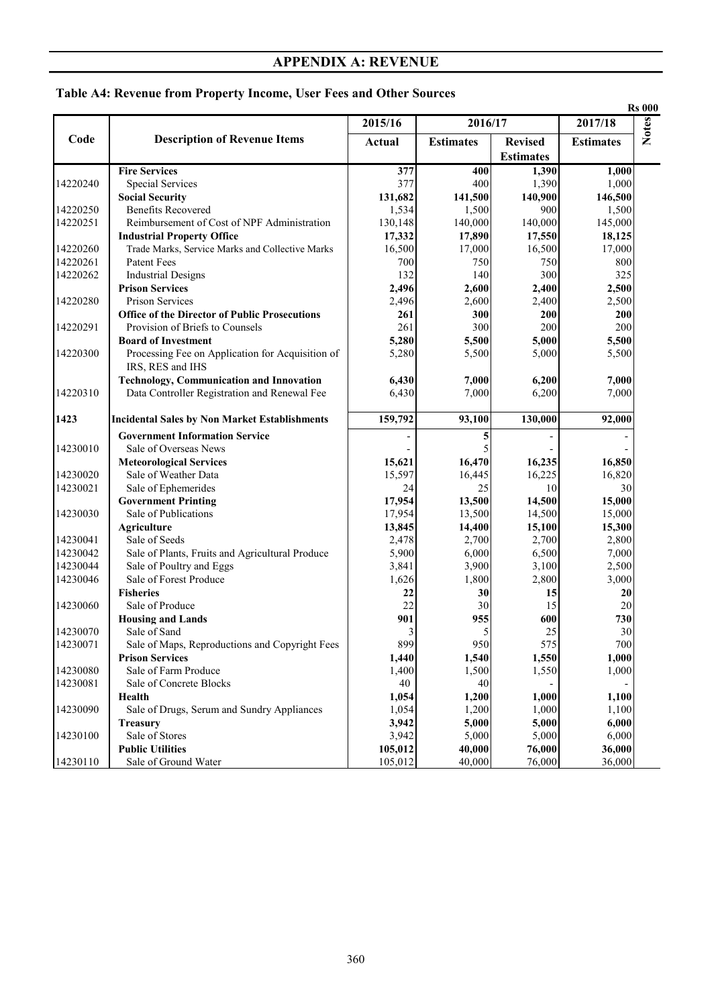|          |                                                      |               |                  | <b>Rs 000</b>                      |                  |              |
|----------|------------------------------------------------------|---------------|------------------|------------------------------------|------------------|--------------|
|          |                                                      | 2015/16       | 2016/17          |                                    | 2017/18          |              |
| Code     | <b>Description of Revenue Items</b>                  | <b>Actual</b> | <b>Estimates</b> | <b>Revised</b><br><b>Estimates</b> | <b>Estimates</b> | <b>Notes</b> |
|          | <b>Fire Services</b>                                 | 377           | 400              | 1,390                              | 1,000            |              |
| 14220240 | <b>Special Services</b>                              | 377           | 400              | 1,390                              | 1,000            |              |
|          | <b>Social Security</b>                               | 131,682       | 141,500          | 140,900                            | 146,500          |              |
| 14220250 | <b>Benefits Recovered</b>                            | 1,534         | 1,500            | 900                                | 1,500            |              |
| 14220251 | Reimbursement of Cost of NPF Administration          | 130,148       | 140,000          | 140,000                            | 145,000          |              |
|          | <b>Industrial Property Office</b>                    | 17,332        | 17,890           | 17,550                             | 18,125           |              |
| 14220260 | Trade Marks, Service Marks and Collective Marks      | 16,500        | 17,000           | 16,500                             | 17,000           |              |
| 14220261 | Patent Fees                                          | 700           | 750              | 750                                | 800              |              |
| 14220262 | <b>Industrial Designs</b>                            | 132           | 140              | 300                                | 325              |              |
|          | <b>Prison Services</b>                               | 2,496         | 2,600            | 2,400                              | 2,500            |              |
| 14220280 | <b>Prison Services</b>                               | 2,496         | 2,600            | 2,400                              | 2,500            |              |
|          | <b>Office of the Director of Public Prosecutions</b> | 261           | 300              | 200                                | 200              |              |
| 14220291 | Provision of Briefs to Counsels                      | 261           | 300              | 200                                | 200              |              |
|          | <b>Board of Investment</b>                           | 5,280         | 5,500            | 5,000                              | 5,500            |              |
| 14220300 | Processing Fee on Application for Acquisition of     | 5,280         | 5,500            | 5,000                              | 5,500            |              |
|          | IRS, RES and IHS                                     |               |                  |                                    |                  |              |
|          | <b>Technology, Communication and Innovation</b>      | 6,430         | 7,000            | 6,200                              | 7,000            |              |
| 14220310 | Data Controller Registration and Renewal Fee         | 6,430         | 7,000            | 6,200                              | 7,000            |              |
| 1423     | <b>Incidental Sales by Non Market Establishments</b> | 159,792       | 93,100           | 130,000                            | 92,000           |              |
|          | <b>Government Information Service</b>                |               | 5                |                                    |                  |              |
| 14230010 | Sale of Overseas News                                |               | 5                |                                    |                  |              |
|          | <b>Meteorological Services</b>                       | 15,621        | 16,470           | 16,235                             | 16,850           |              |
| 14230020 | Sale of Weather Data                                 | 15,597        | 16,445           | 16,225                             | 16,820           |              |
| 14230021 | Sale of Ephemerides                                  | 24            | 25               | 10                                 | 30               |              |
|          | <b>Government Printing</b>                           | 17,954        | 13,500           | 14,500                             | 15,000           |              |
| 14230030 | Sale of Publications                                 | 17,954        | 13,500           | 14,500                             | 15,000           |              |
|          | <b>Agriculture</b>                                   | 13,845        | 14,400           | 15,100                             | 15,300           |              |
| 14230041 | Sale of Seeds                                        | 2,478         | 2,700            | 2,700                              | 2,800            |              |
| 14230042 | Sale of Plants, Fruits and Agricultural Produce      | 5,900         | 6,000            | 6,500                              | 7,000            |              |
| 14230044 | Sale of Poultry and Eggs                             | 3,841         | 3,900            | 3,100                              | 2,500            |              |
| 14230046 | Sale of Forest Produce                               | 1,626         | 1,800            | 2,800                              | 3,000            |              |
|          | <b>Fisheries</b>                                     | 22            | 30               | 15                                 | 20               |              |
| 14230060 | Sale of Produce                                      | 22            | 30               | 15                                 | 20               |              |
|          | <b>Housing and Lands</b>                             | 901           | 955              | 600                                | 730              |              |
| 14230070 | Sale of Sand                                         | 3             | 5                | 25                                 | 30               |              |
| 14230071 | Sale of Maps, Reproductions and Copyright Fees       | 899           | 950              | 575                                | 700              |              |
|          | <b>Prison Services</b>                               | 1,440         | 1,540            | 1,550                              | 1,000            |              |
| 14230080 | Sale of Farm Produce                                 | 1,400         | 1,500            | 1,550                              | 1,000            |              |
| 14230081 | Sale of Concrete Blocks                              | 40            | 40               |                                    |                  |              |
|          | Health                                               | 1,054         | 1,200            | 1,000                              | 1,100            |              |
| 14230090 | Sale of Drugs, Serum and Sundry Appliances           | 1,054         | 1,200            | 1,000                              | 1,100            |              |
|          | <b>Treasury</b>                                      | 3,942         | 5,000            | 5,000                              | 6,000            |              |
| 14230100 | Sale of Stores                                       | 3,942         | 5,000            | 5,000                              | 6,000            |              |
|          | <b>Public Utilities</b>                              | 105,012       | 40,000           | 76,000                             | 36,000           |              |
| 14230110 | Sale of Ground Water                                 | 105,012       | 40,000           | 76,000                             | 36,000           |              |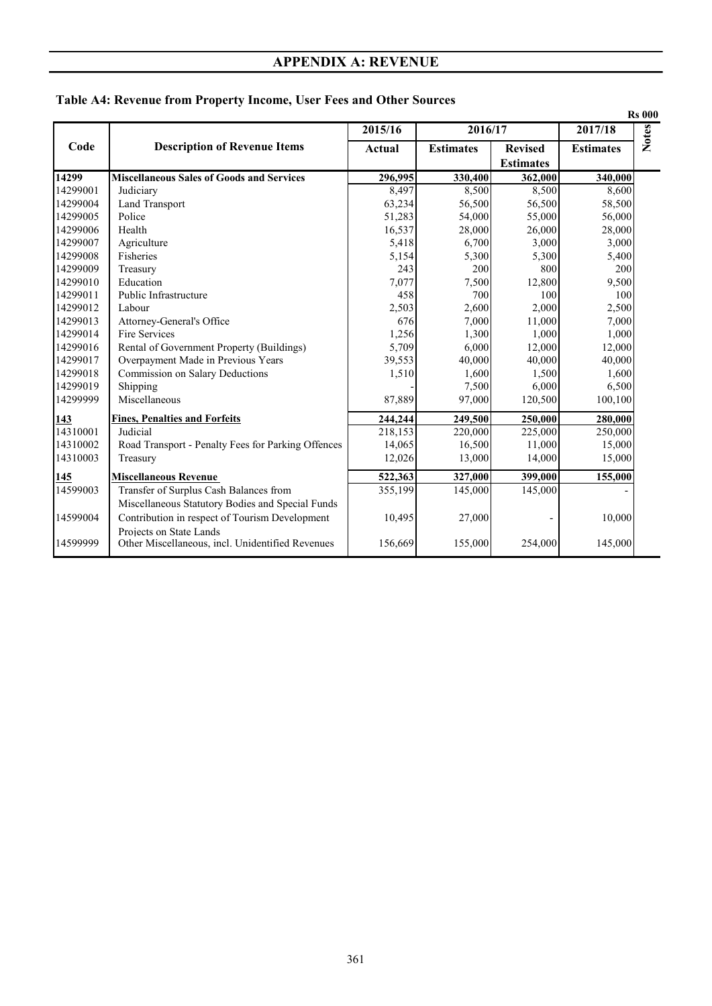|          |                                                                             |         |                  |                                    |                  | <b>Rs 000</b> |
|----------|-----------------------------------------------------------------------------|---------|------------------|------------------------------------|------------------|---------------|
|          |                                                                             | 2015/16 | 2016/17          |                                    | 2017/18          | <b>Notes</b>  |
| Code     | <b>Description of Revenue Items</b>                                         | Actual  | <b>Estimates</b> | <b>Revised</b><br><b>Estimates</b> | <b>Estimates</b> |               |
| 14299    | <b>Miscellaneous Sales of Goods and Services</b>                            | 296,995 | 330,400          | 362,000                            | 340,000          |               |
| 14299001 | Judiciary                                                                   | 8,497   | 8,500            | 8,500                              | 8,600            |               |
| 14299004 | Land Transport                                                              | 63,234  | 56,500           | 56,500                             | 58,500           |               |
| 14299005 | Police                                                                      | 51,283  | 54,000           | 55,000                             | 56,000           |               |
| 14299006 | Health                                                                      | 16,537  | 28,000           | 26,000                             | 28,000           |               |
| 14299007 | Agriculture                                                                 | 5,418   | 6,700            | 3,000                              | 3,000            |               |
| 14299008 | Fisheries                                                                   | 5,154   | 5,300            | 5,300                              | 5,400            |               |
| 14299009 | Treasury                                                                    | 243     | 200              | 800                                | 200              |               |
| 14299010 | Education                                                                   | 7,077   | 7,500            | 12,800                             | 9,500            |               |
| 14299011 | Public Infrastructure                                                       | 458     | 700              | 100                                | 100              |               |
| 14299012 | Labour                                                                      | 2,503   | 2,600            | 2,000                              | 2,500            |               |
| 14299013 | Attorney-General's Office                                                   | 676     | 7,000            | 11,000                             | 7,000            |               |
| 14299014 | Fire Services                                                               | 1,256   | 1,300            | 1,000                              | 1,000            |               |
| 14299016 | Rental of Government Property (Buildings)                                   | 5,709   | 6,000            | 12,000                             | 12,000           |               |
| 14299017 | Overpayment Made in Previous Years                                          | 39,553  | 40,000           | 40,000                             | 40,000           |               |
| 14299018 | Commission on Salary Deductions                                             | 1,510   | 1,600            | 1,500                              | 1,600            |               |
| 14299019 | Shipping                                                                    |         | 7,500            | 6,000                              | 6,500            |               |
| 14299999 | Miscellaneous                                                               | 87,889  | 97,000           | 120,500                            | 100,100          |               |
| 143      | <b>Fines, Penalties and Forfeits</b>                                        | 244,244 | 249,500          | 250,000                            | 280,000          |               |
| 14310001 | Judicial                                                                    | 218,153 | 220,000          | 225,000                            | 250,000          |               |
| 14310002 | Road Transport - Penalty Fees for Parking Offences                          | 14,065  | 16,500           | 11,000                             | 15,000           |               |
| 14310003 | Treasury                                                                    | 12,026  | 13,000           | 14,000                             | 15,000           |               |
| 145      | <b>Miscellaneous Revenue</b>                                                | 522,363 | 327,000          | 399,000                            | 155,000          |               |
| 14599003 | Transfer of Surplus Cash Balances from                                      | 355,199 | 145,000          | 145,000                            |                  |               |
|          | Miscellaneous Statutory Bodies and Special Funds                            |         |                  |                                    |                  |               |
| 14599004 | Contribution in respect of Tourism Development                              | 10,495  | 27,000           |                                    | 10,000           |               |
| 14599999 | Projects on State Lands<br>Other Miscellaneous, incl. Unidentified Revenues | 156,669 | 155,000          | 254,000                            | 145,000          |               |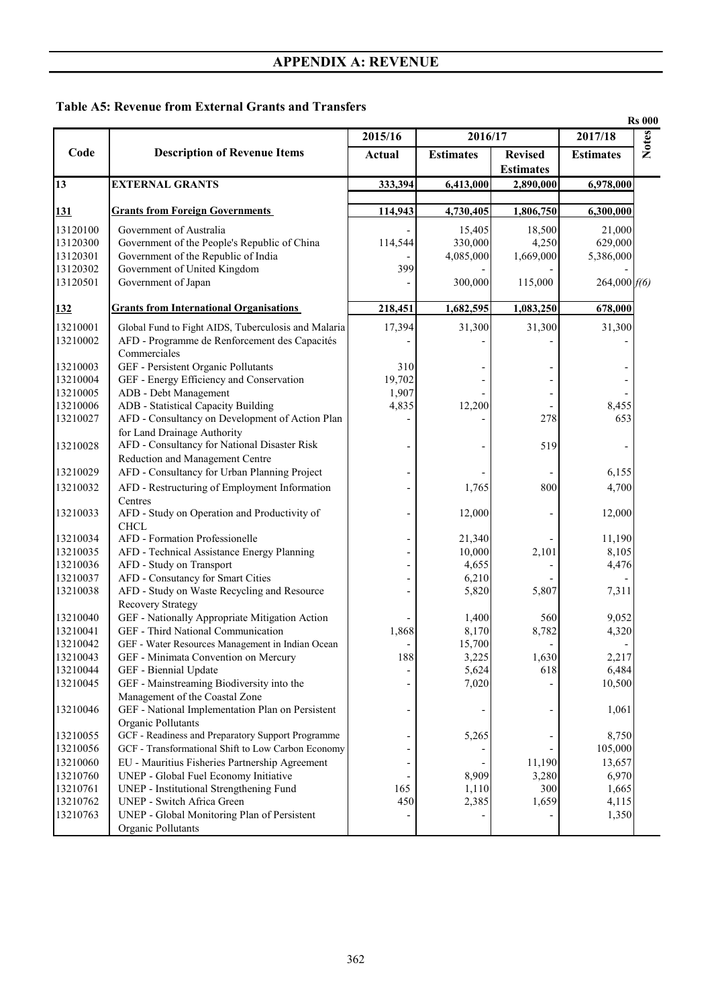#### **Table A5: Revenue from External Grants and Transfers**

| <b>Notes</b><br>2016/17<br>2017/18<br>2015/16<br>Code<br><b>Description of Revenue Items</b><br><b>Estimates</b><br><b>Revised</b><br><b>Estimates</b><br><b>Actual</b><br><b>Estimates</b><br><b>EXTERNAL GRANTS</b><br>333,394<br>2,890,000<br>6,413,000<br>6,978,000<br><b>Grants from Foreign Governments</b><br>114,943<br><u>131</u><br>4,730,405<br>1,806,750<br>6,300,000<br>Government of Australia<br>15,405<br>18,500<br>21,000<br>13120300<br>Government of the People's Republic of China<br>114,544<br>330,000<br>4,250<br>629,000<br>Government of the Republic of India<br>13120301<br>4,085,000<br>1,669,000<br>5,386,000<br>13120302<br>Government of United Kingdom<br>399<br>13120501<br>Government of Japan<br>300,000<br>115,000<br>264,000 f(6)<br><b>Grants from International Organisations</b><br>218,451<br>1,682,595<br>1,083,250<br>678,000<br>17,394<br>Global Fund to Fight AIDS, Tuberculosis and Malaria<br>31,300<br>31,300<br>31,300<br>AFD - Programme de Renforcement des Capacités<br>Commerciales<br>13210003<br>GEF - Persistent Organic Pollutants<br>310<br>GEF - Energy Efficiency and Conservation<br>13210004<br>19,702<br>13210005<br>ADB - Debt Management<br>1,907<br>13210006<br>ADB - Statistical Capacity Building<br>4,835<br>12,200<br>8,455<br>AFD - Consultancy on Development of Action Plan<br>278<br>653<br>13210027<br>for Land Drainage Authority<br>AFD - Consultancy for National Disaster Risk<br>13210028<br>519<br>Reduction and Management Centre<br>AFD - Consultancy for Urban Planning Project<br>13210029<br>6,155<br>AFD - Restructuring of Employment Information<br>13210032<br>1,765<br>800<br>4,700<br>Centres<br>AFD - Study on Operation and Productivity of<br>12,000<br>12,000<br><b>CHCL</b><br>AFD - Formation Professionelle<br>21,340<br>11,190<br>13210035<br>AFD - Technical Assistance Energy Planning<br>10,000<br>2,101<br>8,105<br>13210036<br>AFD - Study on Transport<br>4,655<br>4,476<br>13210037<br>AFD - Consutancy for Smart Cities<br>6,210<br>AFD - Study on Waste Recycling and Resource<br>13210038<br>5,820<br>5,807<br>7,311<br><b>Recovery Strategy</b><br>GEF - Nationally Appropriate Mitigation Action<br>13210040<br>9,052<br>1,400<br>560<br>13210041<br>GEF - Third National Communication<br>1,868<br>8,782<br>8,170<br>4,320<br>13210042<br>GEF - Water Resources Management in Indian Ocean<br>15,700<br>-<br>188<br>13210043<br>GEF - Minimata Convention on Mercury<br>3,225<br>1,630<br>2,217<br>GEF - Biennial Update<br>5,624<br>618<br>6,484<br>GEF - Mainstreaming Biodiversity into the<br>7,020<br>10,500<br>Management of the Coastal Zone<br>GEF - National Implementation Plan on Persistent<br>1,061<br>Organic Pollutants<br>GCF - Readiness and Preparatory Support Programme<br>13210055<br>5,265<br>8,750<br>GCF - Transformational Shift to Low Carbon Economy<br>13210056<br>105,000<br>EU - Mauritius Fisheries Partnership Agreement<br>13210060<br>11,190<br>13,657<br>13210760<br>UNEP - Global Fuel Economy Initiative<br>8,909<br>3,280<br>6,970<br>165<br>13210761<br>UNEP - Institutional Strengthening Fund<br>1,110<br>300<br>1,665<br>UNEP - Switch Africa Green<br>13210762<br>450<br>2,385<br>1,659<br>4,115<br>13210763<br>UNEP - Global Monitoring Plan of Persistent<br>1,350<br>Organic Pollutants |          |  |  | <b>Rs 000</b> |
|--------------------------------------------------------------------------------------------------------------------------------------------------------------------------------------------------------------------------------------------------------------------------------------------------------------------------------------------------------------------------------------------------------------------------------------------------------------------------------------------------------------------------------------------------------------------------------------------------------------------------------------------------------------------------------------------------------------------------------------------------------------------------------------------------------------------------------------------------------------------------------------------------------------------------------------------------------------------------------------------------------------------------------------------------------------------------------------------------------------------------------------------------------------------------------------------------------------------------------------------------------------------------------------------------------------------------------------------------------------------------------------------------------------------------------------------------------------------------------------------------------------------------------------------------------------------------------------------------------------------------------------------------------------------------------------------------------------------------------------------------------------------------------------------------------------------------------------------------------------------------------------------------------------------------------------------------------------------------------------------------------------------------------------------------------------------------------------------------------------------------------------------------------------------------------------------------------------------------------------------------------------------------------------------------------------------------------------------------------------------------------------------------------------------------------------------------------------------------------------------------------------------------------------------------------------------------------------------------------------------------------------------------------------------------------------------------------------------------------------------------------------------------------------------------------------------------------------------------------------------------------------------------------------------------------------------------------------------------------------------------------------------------------------------------------------------------------------------------------------------------------------------------------------------------------------------------------------------------------------------------------------------------------------------------------------------------------------------------------|----------|--|--|---------------|
|                                                                                                                                                                                                                                                                                                                                                                                                                                                                                                                                                                                                                                                                                                                                                                                                                                                                                                                                                                                                                                                                                                                                                                                                                                                                                                                                                                                                                                                                                                                                                                                                                                                                                                                                                                                                                                                                                                                                                                                                                                                                                                                                                                                                                                                                                                                                                                                                                                                                                                                                                                                                                                                                                                                                                                                                                                                                                                                                                                                                                                                                                                                                                                                                                                                                                                                                                        |          |  |  |               |
|                                                                                                                                                                                                                                                                                                                                                                                                                                                                                                                                                                                                                                                                                                                                                                                                                                                                                                                                                                                                                                                                                                                                                                                                                                                                                                                                                                                                                                                                                                                                                                                                                                                                                                                                                                                                                                                                                                                                                                                                                                                                                                                                                                                                                                                                                                                                                                                                                                                                                                                                                                                                                                                                                                                                                                                                                                                                                                                                                                                                                                                                                                                                                                                                                                                                                                                                                        |          |  |  |               |
|                                                                                                                                                                                                                                                                                                                                                                                                                                                                                                                                                                                                                                                                                                                                                                                                                                                                                                                                                                                                                                                                                                                                                                                                                                                                                                                                                                                                                                                                                                                                                                                                                                                                                                                                                                                                                                                                                                                                                                                                                                                                                                                                                                                                                                                                                                                                                                                                                                                                                                                                                                                                                                                                                                                                                                                                                                                                                                                                                                                                                                                                                                                                                                                                                                                                                                                                                        | 13       |  |  |               |
|                                                                                                                                                                                                                                                                                                                                                                                                                                                                                                                                                                                                                                                                                                                                                                                                                                                                                                                                                                                                                                                                                                                                                                                                                                                                                                                                                                                                                                                                                                                                                                                                                                                                                                                                                                                                                                                                                                                                                                                                                                                                                                                                                                                                                                                                                                                                                                                                                                                                                                                                                                                                                                                                                                                                                                                                                                                                                                                                                                                                                                                                                                                                                                                                                                                                                                                                                        |          |  |  |               |
|                                                                                                                                                                                                                                                                                                                                                                                                                                                                                                                                                                                                                                                                                                                                                                                                                                                                                                                                                                                                                                                                                                                                                                                                                                                                                                                                                                                                                                                                                                                                                                                                                                                                                                                                                                                                                                                                                                                                                                                                                                                                                                                                                                                                                                                                                                                                                                                                                                                                                                                                                                                                                                                                                                                                                                                                                                                                                                                                                                                                                                                                                                                                                                                                                                                                                                                                                        |          |  |  |               |
|                                                                                                                                                                                                                                                                                                                                                                                                                                                                                                                                                                                                                                                                                                                                                                                                                                                                                                                                                                                                                                                                                                                                                                                                                                                                                                                                                                                                                                                                                                                                                                                                                                                                                                                                                                                                                                                                                                                                                                                                                                                                                                                                                                                                                                                                                                                                                                                                                                                                                                                                                                                                                                                                                                                                                                                                                                                                                                                                                                                                                                                                                                                                                                                                                                                                                                                                                        | 13120100 |  |  |               |
|                                                                                                                                                                                                                                                                                                                                                                                                                                                                                                                                                                                                                                                                                                                                                                                                                                                                                                                                                                                                                                                                                                                                                                                                                                                                                                                                                                                                                                                                                                                                                                                                                                                                                                                                                                                                                                                                                                                                                                                                                                                                                                                                                                                                                                                                                                                                                                                                                                                                                                                                                                                                                                                                                                                                                                                                                                                                                                                                                                                                                                                                                                                                                                                                                                                                                                                                                        |          |  |  |               |
|                                                                                                                                                                                                                                                                                                                                                                                                                                                                                                                                                                                                                                                                                                                                                                                                                                                                                                                                                                                                                                                                                                                                                                                                                                                                                                                                                                                                                                                                                                                                                                                                                                                                                                                                                                                                                                                                                                                                                                                                                                                                                                                                                                                                                                                                                                                                                                                                                                                                                                                                                                                                                                                                                                                                                                                                                                                                                                                                                                                                                                                                                                                                                                                                                                                                                                                                                        |          |  |  |               |
|                                                                                                                                                                                                                                                                                                                                                                                                                                                                                                                                                                                                                                                                                                                                                                                                                                                                                                                                                                                                                                                                                                                                                                                                                                                                                                                                                                                                                                                                                                                                                                                                                                                                                                                                                                                                                                                                                                                                                                                                                                                                                                                                                                                                                                                                                                                                                                                                                                                                                                                                                                                                                                                                                                                                                                                                                                                                                                                                                                                                                                                                                                                                                                                                                                                                                                                                                        |          |  |  |               |
|                                                                                                                                                                                                                                                                                                                                                                                                                                                                                                                                                                                                                                                                                                                                                                                                                                                                                                                                                                                                                                                                                                                                                                                                                                                                                                                                                                                                                                                                                                                                                                                                                                                                                                                                                                                                                                                                                                                                                                                                                                                                                                                                                                                                                                                                                                                                                                                                                                                                                                                                                                                                                                                                                                                                                                                                                                                                                                                                                                                                                                                                                                                                                                                                                                                                                                                                                        |          |  |  |               |
|                                                                                                                                                                                                                                                                                                                                                                                                                                                                                                                                                                                                                                                                                                                                                                                                                                                                                                                                                                                                                                                                                                                                                                                                                                                                                                                                                                                                                                                                                                                                                                                                                                                                                                                                                                                                                                                                                                                                                                                                                                                                                                                                                                                                                                                                                                                                                                                                                                                                                                                                                                                                                                                                                                                                                                                                                                                                                                                                                                                                                                                                                                                                                                                                                                                                                                                                                        | 132      |  |  |               |
|                                                                                                                                                                                                                                                                                                                                                                                                                                                                                                                                                                                                                                                                                                                                                                                                                                                                                                                                                                                                                                                                                                                                                                                                                                                                                                                                                                                                                                                                                                                                                                                                                                                                                                                                                                                                                                                                                                                                                                                                                                                                                                                                                                                                                                                                                                                                                                                                                                                                                                                                                                                                                                                                                                                                                                                                                                                                                                                                                                                                                                                                                                                                                                                                                                                                                                                                                        | 13210001 |  |  |               |
|                                                                                                                                                                                                                                                                                                                                                                                                                                                                                                                                                                                                                                                                                                                                                                                                                                                                                                                                                                                                                                                                                                                                                                                                                                                                                                                                                                                                                                                                                                                                                                                                                                                                                                                                                                                                                                                                                                                                                                                                                                                                                                                                                                                                                                                                                                                                                                                                                                                                                                                                                                                                                                                                                                                                                                                                                                                                                                                                                                                                                                                                                                                                                                                                                                                                                                                                                        | 13210002 |  |  |               |
|                                                                                                                                                                                                                                                                                                                                                                                                                                                                                                                                                                                                                                                                                                                                                                                                                                                                                                                                                                                                                                                                                                                                                                                                                                                                                                                                                                                                                                                                                                                                                                                                                                                                                                                                                                                                                                                                                                                                                                                                                                                                                                                                                                                                                                                                                                                                                                                                                                                                                                                                                                                                                                                                                                                                                                                                                                                                                                                                                                                                                                                                                                                                                                                                                                                                                                                                                        |          |  |  |               |
|                                                                                                                                                                                                                                                                                                                                                                                                                                                                                                                                                                                                                                                                                                                                                                                                                                                                                                                                                                                                                                                                                                                                                                                                                                                                                                                                                                                                                                                                                                                                                                                                                                                                                                                                                                                                                                                                                                                                                                                                                                                                                                                                                                                                                                                                                                                                                                                                                                                                                                                                                                                                                                                                                                                                                                                                                                                                                                                                                                                                                                                                                                                                                                                                                                                                                                                                                        |          |  |  |               |
|                                                                                                                                                                                                                                                                                                                                                                                                                                                                                                                                                                                                                                                                                                                                                                                                                                                                                                                                                                                                                                                                                                                                                                                                                                                                                                                                                                                                                                                                                                                                                                                                                                                                                                                                                                                                                                                                                                                                                                                                                                                                                                                                                                                                                                                                                                                                                                                                                                                                                                                                                                                                                                                                                                                                                                                                                                                                                                                                                                                                                                                                                                                                                                                                                                                                                                                                                        |          |  |  |               |
|                                                                                                                                                                                                                                                                                                                                                                                                                                                                                                                                                                                                                                                                                                                                                                                                                                                                                                                                                                                                                                                                                                                                                                                                                                                                                                                                                                                                                                                                                                                                                                                                                                                                                                                                                                                                                                                                                                                                                                                                                                                                                                                                                                                                                                                                                                                                                                                                                                                                                                                                                                                                                                                                                                                                                                                                                                                                                                                                                                                                                                                                                                                                                                                                                                                                                                                                                        |          |  |  |               |
|                                                                                                                                                                                                                                                                                                                                                                                                                                                                                                                                                                                                                                                                                                                                                                                                                                                                                                                                                                                                                                                                                                                                                                                                                                                                                                                                                                                                                                                                                                                                                                                                                                                                                                                                                                                                                                                                                                                                                                                                                                                                                                                                                                                                                                                                                                                                                                                                                                                                                                                                                                                                                                                                                                                                                                                                                                                                                                                                                                                                                                                                                                                                                                                                                                                                                                                                                        |          |  |  |               |
|                                                                                                                                                                                                                                                                                                                                                                                                                                                                                                                                                                                                                                                                                                                                                                                                                                                                                                                                                                                                                                                                                                                                                                                                                                                                                                                                                                                                                                                                                                                                                                                                                                                                                                                                                                                                                                                                                                                                                                                                                                                                                                                                                                                                                                                                                                                                                                                                                                                                                                                                                                                                                                                                                                                                                                                                                                                                                                                                                                                                                                                                                                                                                                                                                                                                                                                                                        |          |  |  |               |
|                                                                                                                                                                                                                                                                                                                                                                                                                                                                                                                                                                                                                                                                                                                                                                                                                                                                                                                                                                                                                                                                                                                                                                                                                                                                                                                                                                                                                                                                                                                                                                                                                                                                                                                                                                                                                                                                                                                                                                                                                                                                                                                                                                                                                                                                                                                                                                                                                                                                                                                                                                                                                                                                                                                                                                                                                                                                                                                                                                                                                                                                                                                                                                                                                                                                                                                                                        |          |  |  |               |
|                                                                                                                                                                                                                                                                                                                                                                                                                                                                                                                                                                                                                                                                                                                                                                                                                                                                                                                                                                                                                                                                                                                                                                                                                                                                                                                                                                                                                                                                                                                                                                                                                                                                                                                                                                                                                                                                                                                                                                                                                                                                                                                                                                                                                                                                                                                                                                                                                                                                                                                                                                                                                                                                                                                                                                                                                                                                                                                                                                                                                                                                                                                                                                                                                                                                                                                                                        |          |  |  |               |
|                                                                                                                                                                                                                                                                                                                                                                                                                                                                                                                                                                                                                                                                                                                                                                                                                                                                                                                                                                                                                                                                                                                                                                                                                                                                                                                                                                                                                                                                                                                                                                                                                                                                                                                                                                                                                                                                                                                                                                                                                                                                                                                                                                                                                                                                                                                                                                                                                                                                                                                                                                                                                                                                                                                                                                                                                                                                                                                                                                                                                                                                                                                                                                                                                                                                                                                                                        |          |  |  |               |
|                                                                                                                                                                                                                                                                                                                                                                                                                                                                                                                                                                                                                                                                                                                                                                                                                                                                                                                                                                                                                                                                                                                                                                                                                                                                                                                                                                                                                                                                                                                                                                                                                                                                                                                                                                                                                                                                                                                                                                                                                                                                                                                                                                                                                                                                                                                                                                                                                                                                                                                                                                                                                                                                                                                                                                                                                                                                                                                                                                                                                                                                                                                                                                                                                                                                                                                                                        |          |  |  |               |
|                                                                                                                                                                                                                                                                                                                                                                                                                                                                                                                                                                                                                                                                                                                                                                                                                                                                                                                                                                                                                                                                                                                                                                                                                                                                                                                                                                                                                                                                                                                                                                                                                                                                                                                                                                                                                                                                                                                                                                                                                                                                                                                                                                                                                                                                                                                                                                                                                                                                                                                                                                                                                                                                                                                                                                                                                                                                                                                                                                                                                                                                                                                                                                                                                                                                                                                                                        |          |  |  |               |
|                                                                                                                                                                                                                                                                                                                                                                                                                                                                                                                                                                                                                                                                                                                                                                                                                                                                                                                                                                                                                                                                                                                                                                                                                                                                                                                                                                                                                                                                                                                                                                                                                                                                                                                                                                                                                                                                                                                                                                                                                                                                                                                                                                                                                                                                                                                                                                                                                                                                                                                                                                                                                                                                                                                                                                                                                                                                                                                                                                                                                                                                                                                                                                                                                                                                                                                                                        | 13210033 |  |  |               |
|                                                                                                                                                                                                                                                                                                                                                                                                                                                                                                                                                                                                                                                                                                                                                                                                                                                                                                                                                                                                                                                                                                                                                                                                                                                                                                                                                                                                                                                                                                                                                                                                                                                                                                                                                                                                                                                                                                                                                                                                                                                                                                                                                                                                                                                                                                                                                                                                                                                                                                                                                                                                                                                                                                                                                                                                                                                                                                                                                                                                                                                                                                                                                                                                                                                                                                                                                        |          |  |  |               |
|                                                                                                                                                                                                                                                                                                                                                                                                                                                                                                                                                                                                                                                                                                                                                                                                                                                                                                                                                                                                                                                                                                                                                                                                                                                                                                                                                                                                                                                                                                                                                                                                                                                                                                                                                                                                                                                                                                                                                                                                                                                                                                                                                                                                                                                                                                                                                                                                                                                                                                                                                                                                                                                                                                                                                                                                                                                                                                                                                                                                                                                                                                                                                                                                                                                                                                                                                        | 13210034 |  |  |               |
|                                                                                                                                                                                                                                                                                                                                                                                                                                                                                                                                                                                                                                                                                                                                                                                                                                                                                                                                                                                                                                                                                                                                                                                                                                                                                                                                                                                                                                                                                                                                                                                                                                                                                                                                                                                                                                                                                                                                                                                                                                                                                                                                                                                                                                                                                                                                                                                                                                                                                                                                                                                                                                                                                                                                                                                                                                                                                                                                                                                                                                                                                                                                                                                                                                                                                                                                                        |          |  |  |               |
|                                                                                                                                                                                                                                                                                                                                                                                                                                                                                                                                                                                                                                                                                                                                                                                                                                                                                                                                                                                                                                                                                                                                                                                                                                                                                                                                                                                                                                                                                                                                                                                                                                                                                                                                                                                                                                                                                                                                                                                                                                                                                                                                                                                                                                                                                                                                                                                                                                                                                                                                                                                                                                                                                                                                                                                                                                                                                                                                                                                                                                                                                                                                                                                                                                                                                                                                                        |          |  |  |               |
|                                                                                                                                                                                                                                                                                                                                                                                                                                                                                                                                                                                                                                                                                                                                                                                                                                                                                                                                                                                                                                                                                                                                                                                                                                                                                                                                                                                                                                                                                                                                                                                                                                                                                                                                                                                                                                                                                                                                                                                                                                                                                                                                                                                                                                                                                                                                                                                                                                                                                                                                                                                                                                                                                                                                                                                                                                                                                                                                                                                                                                                                                                                                                                                                                                                                                                                                                        |          |  |  |               |
|                                                                                                                                                                                                                                                                                                                                                                                                                                                                                                                                                                                                                                                                                                                                                                                                                                                                                                                                                                                                                                                                                                                                                                                                                                                                                                                                                                                                                                                                                                                                                                                                                                                                                                                                                                                                                                                                                                                                                                                                                                                                                                                                                                                                                                                                                                                                                                                                                                                                                                                                                                                                                                                                                                                                                                                                                                                                                                                                                                                                                                                                                                                                                                                                                                                                                                                                                        |          |  |  |               |
|                                                                                                                                                                                                                                                                                                                                                                                                                                                                                                                                                                                                                                                                                                                                                                                                                                                                                                                                                                                                                                                                                                                                                                                                                                                                                                                                                                                                                                                                                                                                                                                                                                                                                                                                                                                                                                                                                                                                                                                                                                                                                                                                                                                                                                                                                                                                                                                                                                                                                                                                                                                                                                                                                                                                                                                                                                                                                                                                                                                                                                                                                                                                                                                                                                                                                                                                                        |          |  |  |               |
|                                                                                                                                                                                                                                                                                                                                                                                                                                                                                                                                                                                                                                                                                                                                                                                                                                                                                                                                                                                                                                                                                                                                                                                                                                                                                                                                                                                                                                                                                                                                                                                                                                                                                                                                                                                                                                                                                                                                                                                                                                                                                                                                                                                                                                                                                                                                                                                                                                                                                                                                                                                                                                                                                                                                                                                                                                                                                                                                                                                                                                                                                                                                                                                                                                                                                                                                                        |          |  |  |               |
|                                                                                                                                                                                                                                                                                                                                                                                                                                                                                                                                                                                                                                                                                                                                                                                                                                                                                                                                                                                                                                                                                                                                                                                                                                                                                                                                                                                                                                                                                                                                                                                                                                                                                                                                                                                                                                                                                                                                                                                                                                                                                                                                                                                                                                                                                                                                                                                                                                                                                                                                                                                                                                                                                                                                                                                                                                                                                                                                                                                                                                                                                                                                                                                                                                                                                                                                                        |          |  |  |               |
|                                                                                                                                                                                                                                                                                                                                                                                                                                                                                                                                                                                                                                                                                                                                                                                                                                                                                                                                                                                                                                                                                                                                                                                                                                                                                                                                                                                                                                                                                                                                                                                                                                                                                                                                                                                                                                                                                                                                                                                                                                                                                                                                                                                                                                                                                                                                                                                                                                                                                                                                                                                                                                                                                                                                                                                                                                                                                                                                                                                                                                                                                                                                                                                                                                                                                                                                                        |          |  |  |               |
|                                                                                                                                                                                                                                                                                                                                                                                                                                                                                                                                                                                                                                                                                                                                                                                                                                                                                                                                                                                                                                                                                                                                                                                                                                                                                                                                                                                                                                                                                                                                                                                                                                                                                                                                                                                                                                                                                                                                                                                                                                                                                                                                                                                                                                                                                                                                                                                                                                                                                                                                                                                                                                                                                                                                                                                                                                                                                                                                                                                                                                                                                                                                                                                                                                                                                                                                                        | 13210044 |  |  |               |
|                                                                                                                                                                                                                                                                                                                                                                                                                                                                                                                                                                                                                                                                                                                                                                                                                                                                                                                                                                                                                                                                                                                                                                                                                                                                                                                                                                                                                                                                                                                                                                                                                                                                                                                                                                                                                                                                                                                                                                                                                                                                                                                                                                                                                                                                                                                                                                                                                                                                                                                                                                                                                                                                                                                                                                                                                                                                                                                                                                                                                                                                                                                                                                                                                                                                                                                                                        | 13210045 |  |  |               |
|                                                                                                                                                                                                                                                                                                                                                                                                                                                                                                                                                                                                                                                                                                                                                                                                                                                                                                                                                                                                                                                                                                                                                                                                                                                                                                                                                                                                                                                                                                                                                                                                                                                                                                                                                                                                                                                                                                                                                                                                                                                                                                                                                                                                                                                                                                                                                                                                                                                                                                                                                                                                                                                                                                                                                                                                                                                                                                                                                                                                                                                                                                                                                                                                                                                                                                                                                        |          |  |  |               |
|                                                                                                                                                                                                                                                                                                                                                                                                                                                                                                                                                                                                                                                                                                                                                                                                                                                                                                                                                                                                                                                                                                                                                                                                                                                                                                                                                                                                                                                                                                                                                                                                                                                                                                                                                                                                                                                                                                                                                                                                                                                                                                                                                                                                                                                                                                                                                                                                                                                                                                                                                                                                                                                                                                                                                                                                                                                                                                                                                                                                                                                                                                                                                                                                                                                                                                                                                        | 13210046 |  |  |               |
|                                                                                                                                                                                                                                                                                                                                                                                                                                                                                                                                                                                                                                                                                                                                                                                                                                                                                                                                                                                                                                                                                                                                                                                                                                                                                                                                                                                                                                                                                                                                                                                                                                                                                                                                                                                                                                                                                                                                                                                                                                                                                                                                                                                                                                                                                                                                                                                                                                                                                                                                                                                                                                                                                                                                                                                                                                                                                                                                                                                                                                                                                                                                                                                                                                                                                                                                                        |          |  |  |               |
|                                                                                                                                                                                                                                                                                                                                                                                                                                                                                                                                                                                                                                                                                                                                                                                                                                                                                                                                                                                                                                                                                                                                                                                                                                                                                                                                                                                                                                                                                                                                                                                                                                                                                                                                                                                                                                                                                                                                                                                                                                                                                                                                                                                                                                                                                                                                                                                                                                                                                                                                                                                                                                                                                                                                                                                                                                                                                                                                                                                                                                                                                                                                                                                                                                                                                                                                                        |          |  |  |               |
|                                                                                                                                                                                                                                                                                                                                                                                                                                                                                                                                                                                                                                                                                                                                                                                                                                                                                                                                                                                                                                                                                                                                                                                                                                                                                                                                                                                                                                                                                                                                                                                                                                                                                                                                                                                                                                                                                                                                                                                                                                                                                                                                                                                                                                                                                                                                                                                                                                                                                                                                                                                                                                                                                                                                                                                                                                                                                                                                                                                                                                                                                                                                                                                                                                                                                                                                                        |          |  |  |               |
|                                                                                                                                                                                                                                                                                                                                                                                                                                                                                                                                                                                                                                                                                                                                                                                                                                                                                                                                                                                                                                                                                                                                                                                                                                                                                                                                                                                                                                                                                                                                                                                                                                                                                                                                                                                                                                                                                                                                                                                                                                                                                                                                                                                                                                                                                                                                                                                                                                                                                                                                                                                                                                                                                                                                                                                                                                                                                                                                                                                                                                                                                                                                                                                                                                                                                                                                                        |          |  |  |               |
|                                                                                                                                                                                                                                                                                                                                                                                                                                                                                                                                                                                                                                                                                                                                                                                                                                                                                                                                                                                                                                                                                                                                                                                                                                                                                                                                                                                                                                                                                                                                                                                                                                                                                                                                                                                                                                                                                                                                                                                                                                                                                                                                                                                                                                                                                                                                                                                                                                                                                                                                                                                                                                                                                                                                                                                                                                                                                                                                                                                                                                                                                                                                                                                                                                                                                                                                                        |          |  |  |               |
|                                                                                                                                                                                                                                                                                                                                                                                                                                                                                                                                                                                                                                                                                                                                                                                                                                                                                                                                                                                                                                                                                                                                                                                                                                                                                                                                                                                                                                                                                                                                                                                                                                                                                                                                                                                                                                                                                                                                                                                                                                                                                                                                                                                                                                                                                                                                                                                                                                                                                                                                                                                                                                                                                                                                                                                                                                                                                                                                                                                                                                                                                                                                                                                                                                                                                                                                                        |          |  |  |               |
|                                                                                                                                                                                                                                                                                                                                                                                                                                                                                                                                                                                                                                                                                                                                                                                                                                                                                                                                                                                                                                                                                                                                                                                                                                                                                                                                                                                                                                                                                                                                                                                                                                                                                                                                                                                                                                                                                                                                                                                                                                                                                                                                                                                                                                                                                                                                                                                                                                                                                                                                                                                                                                                                                                                                                                                                                                                                                                                                                                                                                                                                                                                                                                                                                                                                                                                                                        |          |  |  |               |
|                                                                                                                                                                                                                                                                                                                                                                                                                                                                                                                                                                                                                                                                                                                                                                                                                                                                                                                                                                                                                                                                                                                                                                                                                                                                                                                                                                                                                                                                                                                                                                                                                                                                                                                                                                                                                                                                                                                                                                                                                                                                                                                                                                                                                                                                                                                                                                                                                                                                                                                                                                                                                                                                                                                                                                                                                                                                                                                                                                                                                                                                                                                                                                                                                                                                                                                                                        |          |  |  |               |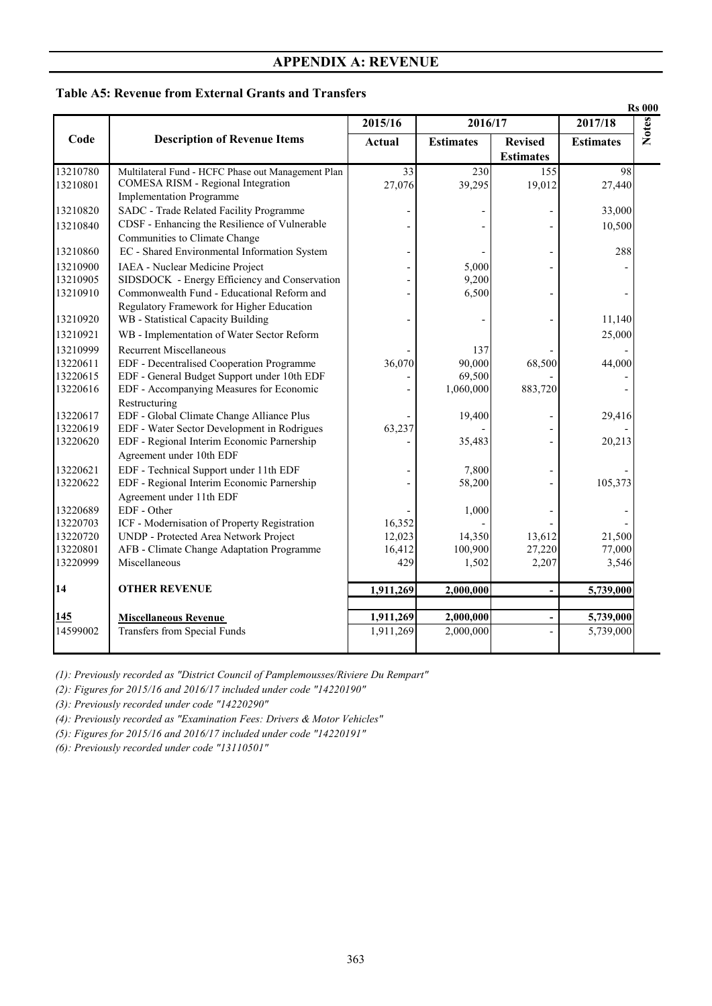#### **Table A5: Revenue from External Grants and Transfers**

|                      |                                                                                 |           |                  |                  |                  | <b>Rs 000</b> |
|----------------------|---------------------------------------------------------------------------------|-----------|------------------|------------------|------------------|---------------|
|                      |                                                                                 | 2015/16   | 2016/17          |                  | 2017/18          | <b>Notes</b>  |
| Code                 | <b>Description of Revenue Items</b>                                             | Actual    | <b>Estimates</b> | <b>Revised</b>   | <b>Estimates</b> |               |
|                      |                                                                                 |           |                  | <b>Estimates</b> |                  |               |
| 13210780             | Multilateral Fund - HCFC Phase out Management Plan                              | 33        | 230              | 155              | 98               |               |
| 13210801             | COMESA RISM - Regional Integration                                              | 27,076    | 39,295           | 19,012           | 27,440           |               |
|                      | <b>Implementation Programme</b>                                                 |           |                  |                  |                  |               |
| 13210820             | SADC - Trade Related Facility Programme                                         |           |                  |                  | 33,000           |               |
| 13210840             | CDSF - Enhancing the Resilience of Vulnerable                                   |           |                  |                  | 10,500           |               |
|                      | Communities to Climate Change                                                   |           |                  |                  |                  |               |
| 13210860             | EC - Shared Environmental Information System                                    |           |                  |                  | 288              |               |
| 13210900             | IAEA - Nuclear Medicine Project                                                 |           | 5,000            |                  |                  |               |
| 13210905             | SIDSDOCK - Energy Efficiency and Conservation                                   |           | 9,200            |                  |                  |               |
| 13210910             | Commonwealth Fund - Educational Reform and                                      |           | 6,500            |                  |                  |               |
| 13210920             | Regulatory Framework for Higher Education<br>WB - Statistical Capacity Building |           |                  |                  | 11,140           |               |
| 13210921             | WB - Implementation of Water Sector Reform                                      |           |                  |                  | 25,000           |               |
|                      |                                                                                 |           |                  |                  |                  |               |
| 13210999             | <b>Recurrent Miscellaneous</b><br>EDF - Decentralised Cooperation Programme     | 36,070    | 137<br>90,000    |                  |                  |               |
| 13220611<br>13220615 | EDF - General Budget Support under 10th EDF                                     |           | 69,500           | 68,500           | 44,000           |               |
| 13220616             | EDF - Accompanying Measures for Economic                                        |           | 1,060,000        | 883,720          |                  |               |
|                      | Restructuring                                                                   |           |                  |                  |                  |               |
| 13220617             | EDF - Global Climate Change Alliance Plus                                       |           | 19,400           |                  | 29,416           |               |
| 13220619             | EDF - Water Sector Development in Rodrigues                                     | 63,237    |                  |                  |                  |               |
| 13220620             | EDF - Regional Interim Economic Parnership                                      |           | 35,483           |                  | 20,213           |               |
|                      | Agreement under 10th EDF                                                        |           |                  |                  |                  |               |
| 13220621             | EDF - Technical Support under 11th EDF                                          |           | 7,800            |                  |                  |               |
| 13220622             | EDF - Regional Interim Economic Parnership                                      |           | 58,200           |                  | 105,373          |               |
|                      | Agreement under 11th EDF                                                        |           |                  |                  |                  |               |
| 13220689             | EDF - Other                                                                     |           | 1,000            |                  |                  |               |
| 13220703             | ICF - Modernisation of Property Registration                                    | 16,352    |                  |                  |                  |               |
| 13220720             | UNDP - Protected Area Network Project                                           | 12,023    | 14,350           | 13,612           | 21,500           |               |
| 13220801             | AFB - Climate Change Adaptation Programme                                       | 16,412    | 100,900          | 27,220           | 77,000           |               |
| 13220999             | Miscellaneous                                                                   | 429       | 1,502            | 2,207            | 3,546            |               |
| 14                   | <b>OTHER REVENUE</b>                                                            | 1,911,269 | 2,000,000        |                  | 5,739,000        |               |
|                      |                                                                                 |           |                  |                  |                  |               |
| <b>145</b>           | <b>Miscellaneous Revenue</b>                                                    | 1,911,269 | 2,000,000        |                  | 5,739,000        |               |
| 14599002             | Transfers from Special Funds                                                    | 1,911,269 | 2,000,000        |                  | 5,739,000        |               |
|                      |                                                                                 |           |                  |                  |                  |               |

*(1): Previously recorded as "District Council of Pamplemousses/Riviere Du Rempart"*

*(2): Figures for 2015/16 and 2016/17 included under code "14220190"*

*(3): Previously recorded under code "14220290"*

*(4): Previously recorded as "Examination Fees: Drivers & Motor Vehicles"*

*(5): Figures for 2015/16 and 2016/17 included under code "14220191"*

*(6): Previously recorded under code "13110501"*